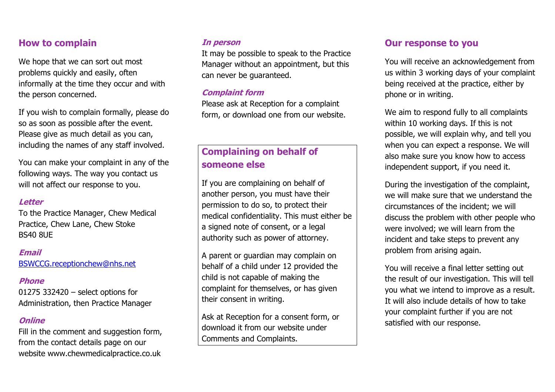## **How to complain**

We hope that we can sort out most problems quickly and easily, often informally at the time they occur and with the person concerned.

If you wish to complain formally, please do so as soon as possible after the event. Please give as much detail as you can, including the names of any staff involved.

You can make your complaint in any of the following ways. The way you contact us will not affect our response to you.

## **Letter**

To the Practice Manager, Chew Medical Practice, Chew Lane, Chew Stoke BS40 8UE

### **Email**

[BSWCCG.receptionchew@nhs.net](mailto:BSWCCG.receptionchew@nhs.net)

## **Phone**

01275 332420 – select options for Administration, then Practice Manager

## **Online**

Fill in the comment and suggestion form, from the contact details page on our website www.chewmedicalpractice.co.uk

## **In person**

It may be possible to speak to the Practice Manager without an appointment, but this can never be guaranteed.

## **Complaint form**

Please ask at Reception for a complaint form, or download one from our website.

# **Complaining on behalf of someone else**

If you are complaining on behalf of another person, you must have their permission to do so, to protect their medical confidentiality. This must either be a signed note of consent, or a legal authority such as power of attorney.

A parent or guardian may complain on behalf of a child under 12 provided the child is not capable of making the complaint for themselves, or has given their consent in writing.

Ask at Reception for a consent form, or download it from our website under Comments and Complaints.

## **Our response to you**

You will receive an acknowledgement from us within 3 working days of your complaint being received at the practice, either by phone or in writing.

We aim to respond fully to all complaints within 10 working days. If this is not possible, we will explain why, and tell you when you can expect a response. We will also make sure you know how to access independent support, if you need it.

During the investigation of the complaint, we will make sure that we understand the circumstances of the incident; we will discuss the problem with other people who were involved; we will learn from the incident and take steps to prevent any problem from arising again.

You will receive a final letter setting out the result of our investigation. This will tell you what we intend to improve as a result. It will also include details of how to take your complaint further if you are not satisfied with our response.